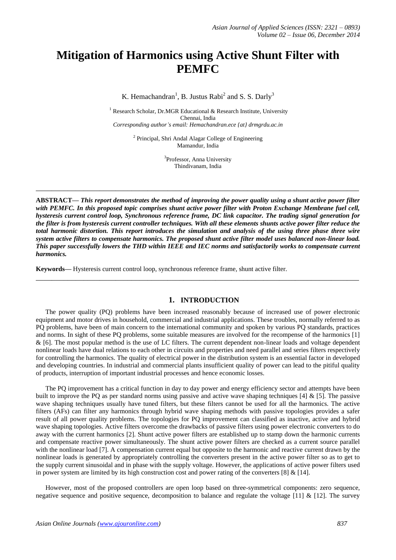# **Mitigation of Harmonics using Active Shunt Filter with PEMFC**

K. Hemachandran<sup>1</sup>, B. Justus Rabi<sup>2</sup> and S. S. Darly<sup>3</sup>

<sup>1</sup> Research Scholar, Dr.MGR Educational & Research Institute, University Chennai, India *Corresponding author's email: Hemachandran.ece {at} drmgrdu.ac.in*

> <sup>2</sup> Principal, Shri Andal Alagar College of Engineering Mamandur, India

> > <sup>3</sup>Professor, Anna University Thindivanam, India

**\_\_\_\_\_\_\_\_\_\_\_\_\_\_\_\_\_\_\_\_\_\_\_\_\_\_\_\_\_\_\_\_\_\_\_\_\_\_\_\_\_\_\_\_\_\_\_\_\_\_\_\_\_\_\_\_\_\_\_\_\_\_\_\_\_\_\_\_\_\_\_\_\_\_\_\_\_\_\_\_\_**

**ABSTRACT—** *This report demonstrates the method of improving the power quality using a shunt active power filter with PEMFC. In this proposed topic comprises shunt active power filter with Proton Exchange Membrane fuel cell, hysteresis current control loop, Synchronous reference frame, DC link capacitor. The trading signal generation for the filter is from hysteresis current controller techniques. With all these elements shunts active power filter reduce the total harmonic distortion. This report introduces the simulation and analysis of the using three phase three wire system active filters to compensate harmonics. The proposed shunt active filter model uses balanced non-linear load. This paper successfully lowers the THD within IEEE and IEC norms and satisfactorily works to compensate current harmonics.*

**\_\_\_\_\_\_\_\_\_\_\_\_\_\_\_\_\_\_\_\_\_\_\_\_\_\_\_\_\_\_\_\_\_\_\_\_\_\_\_\_\_\_\_\_\_\_\_\_\_\_\_\_\_\_\_\_\_\_\_\_\_\_\_\_\_\_\_\_\_\_\_\_\_\_\_\_\_\_\_\_\_**

**Keywords—** Hysteresis current control loop, synchronous reference frame, shunt active filter.

#### **1. INTRODUCTION**

The power quality (PQ) problems have been increased reasonably because of increased use of power electronic equipment and motor drives in household, commercial and industrial applications. These troubles, normally referred to as PQ problems, have been of main concern to the international community and spoken by various PQ standards, practices and norms. In sight of these PQ problems, some suitable measures are involved for the recompense of the harmonics [1] & [6]. The most popular method is the use of LC filters. The current dependent non-linear loads and voltage dependent nonlinear loads have dual relations to each other in circuits and properties and need parallel and series filters respectively for controlling the harmonics. The quality of electrical power in the distribution system is an essential factor in developed and developing countries. In industrial and commercial plants insufficient quality of power can lead to the pitiful quality of products, interruption of important industrial processes and hence economic losses.

The PQ improvement has a critical function in day to day power and energy efficiency sector and attempts have been built to improve the PQ as per standard norms using passive and active wave shaping techniques [4] & [5]. The passive wave shaping techniques usually have tuned filters, but these filters cannot be used for all the harmonics. The active filters (AFs) can filter any harmonics through hybrid wave shaping methods with passive topologies provides a safer result of all power quality problems. The topologies for PQ improvement can classified as inactive, active and hybrid wave shaping topologies. Active filters overcome the drawbacks of passive filters using power electronic converters to do away with the current harmonics [2]. Shunt active power filters are established up to stamp down the harmonic currents and compensate reactive power simultaneously. The shunt active power filters are checked as a current source parallel with the nonlinear load [7]. A compensation current equal but opposite to the harmonic and reactive current drawn by the nonlinear loads is generated by appropriately controlling the converters present in the active power filter so as to get to the supply current sinusoidal and in phase with the supply voltage. However, the applications of active power filters used in power system are limited by its high construction cost and power rating of the converters [8]  $\&$  [14].

However, most of the proposed controllers are open loop based on three-symmetrical components: zero sequence, negative sequence and positive sequence, decomposition to balance and regulate the voltage  $[11]$  &  $[12]$ . The survey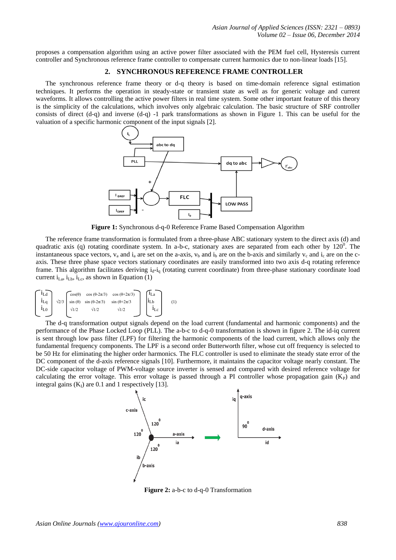proposes a compensation algorithm using an active power filter associated with the PEM fuel cell, Hysteresis current controller and Synchronous reference frame controller to compensate current harmonics due to non-linear loads [15].

# **2. SYNCHRONOUS REFERENCE FRAME CONTROLLER**

The synchronous reference frame theory or d-q theory is based on time-domain reference signal estimation techniques. It performs the operation in steady-state or transient state as well as for generic voltage and current waveforms. It allows controlling the active power filters in real time system. Some other important feature of this theory is the simplicity of the calculations, which involves only algebraic calculation. The basic structure of SRF controller consists of direct (d-q) and inverse (d-q) -1 park transformations as shown in Figure 1. This can be useful for the valuation of a specific harmonic component of the input signals [2].



**Figure 1:** Synchronous d-q-0 Reference Frame Based Compensation Algorithm

The reference frame transformation is formulated from a three-phase ABC stationary system to the direct axis (d) and quadratic axis (q) rotating coordinate system. In a-b-c, stationary axes are separated from each other by  $120^0$ . The instantaneous space vectors,  $v_a$  and  $i_a$  are set on the a-axis,  $v_b$  and  $i_b$  are on the b-axis and similarly  $v_c$  and  $i_c$  are on the caxis. These three phase space vectors stationary coordinates are easily transformed into two axis d-q rotating reference frame. This algorithm facilitates deriving  $i_d$ - $i_q$  (rotating current coordinate) from three-phase stationary coordinate load current  $i_{La}$ ,  $i_{Lb}$ ,  $i_{Lc}$ , as shown in Equation (1)

| ⊥Ld                      | $cos(\theta)$ | $\cos(\theta - 2\pi/3)$ $\cos(\theta + 2\pi/3)$ |                         |          |
|--------------------------|---------------|-------------------------------------------------|-------------------------|----------|
| $1_{Lq}$<br>$\sqrt{2/3}$ |               | $\sin(\theta)$ $\sin(\theta - 2\pi/3)$          | $\sin(\theta + 2\pi/3)$ | $1_{Lb}$ |
| $1_{L0}$                 | $\sqrt{1/2}$  | $\sqrt{1/2}$                                    | $\sqrt{1/2}$            |          |

The d-q transformation output signals depend on the load current (fundamental and harmonic components) and the performance of the Phase Locked Loop (PLL). The a-b-c to d-q-0 transformation is shown in figure 2. The id-iq current is sent through low pass filter (LPF) for filtering the harmonic components of the load current, which allows only the fundamental frequency components. The LPF is a second order Butterworth filter, whose cut off frequency is selected to be 50 Hz for eliminating the higher order harmonics. The FLC controller is used to eliminate the steady state error of the DC component of the d-axis reference signals [10]. Furthermore, it maintains the capacitor voltage nearly constant. The DC-side capacitor voltage of PWM-voltage source inverter is sensed and compared with desired reference voltage for calculating the error voltage. This error voltage is passed through a PI controller whose propagation gain  $(K_P)$  and integral gains  $(K<sub>I</sub>)$  are 0.1 and 1 respectively [13].



**Figure 2:** a-b-c to d-q-0 Transformation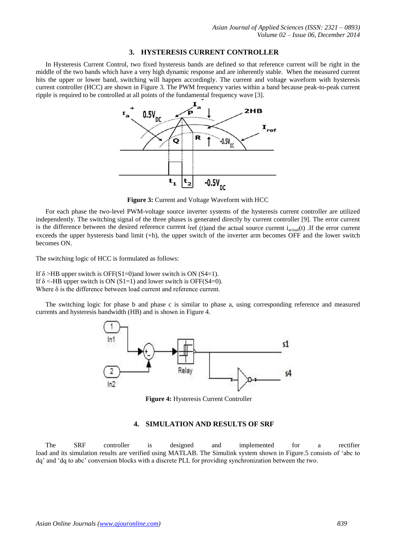#### **3. HYSTERESIS CURRENT CONTROLLER**

In Hysteresis Current Control, two fixed hysteresis bands are defined so that reference current will be right in the middle of the two bands which have a very high dynamic response and are inherently stable. When the measured current hits the upper or lower band, switching will happen accordingly. The current and voltage waveform with hysteresis current controller (HCC) are shown in Figure 3. The PWM frequency varies within a band because peak-to-peak current ripple is required to be controlled at all points of the fundamental frequency wave [3].



**Figure 3:** Current and Voltage Waveform with HCC

For each phase the two-level PWM-voltage source inverter systems of the hysteresis current controller are utilized independently. The switching signal of the three phases is generated directly by current controller [9]. The error current is the difference between the desired reference current  $i_{ref}$  (t)and the actual source current  $i_{actual}(t)$ . If the error current exceeds the upper hysteresis band limit (+h), the upper switch of the inverter arm becomes OFF and the lower switch becomes ON.

The switching logic of HCC is formulated as follows:

If  $\delta$  >HB upper switch is OFF(S1=0)and lower switch is ON (S4=1). If  $\delta$  <-HB upper switch is ON (S1=1) and lower switch is OFF(S4=0). Where  $\delta$  is the difference between load current and reference current.

The switching logic for phase b and phase c is similar to phase a, using corresponding reference and measured currents and hysteresis bandwidth (HB) and is shown in Figure 4.



**Figure 4:** Hysteresis Current Controller

#### **4. SIMULATION AND RESULTS OF SRF**

The SRF controller is designed and implemented for a rectifier load and its simulation results are verified using MATLAB. The Simulink system shown in Figure.5 consists of 'abc to dq' and 'dq to abc' conversion blocks with a discrete PLL for providing synchronization between the two.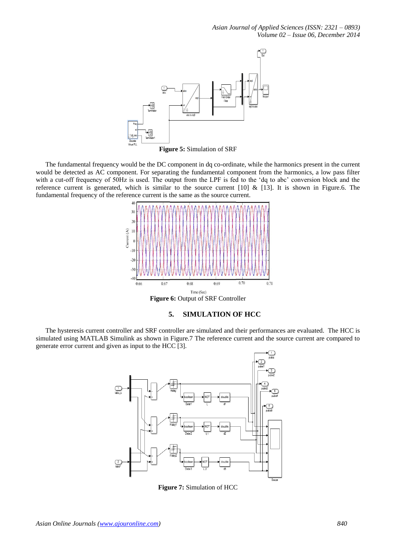*Asian Journal of Applied Sciences (ISSN: 2321 – 0893) Volume 02 – Issue 06, December 2014*



**Figure 5:** Simulation of SRF

The fundamental frequency would be the DC component in dq co-ordinate, while the harmonics present in the current would be detected as AC component. For separating the fundamental component from the harmonics, a low pass filter with a cut-off frequency of 50Hz is used. The output from the LPF is fed to the 'dq to abc' conversion block and the reference current is generated, which is similar to the source current [10]  $\&$  [13]. It is shown in Figure.6. The fundamental frequency of the reference current is the same as the source current.



# **5. SIMULATION OF HCC**

The hysteresis current controller and SRF controller are simulated and their performances are evaluated. The HCC is simulated using MATLAB Simulink as shown in Figure.7 The reference current and the source current are compared to generate error current and given as input to the HCC [3].



**Figure 7:** Simulation of HCC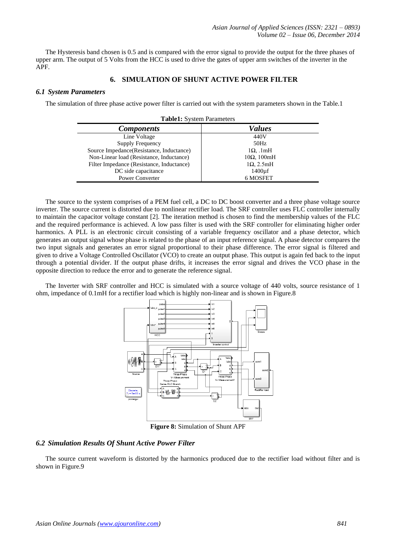The Hysteresis band chosen is 0.5 and is compared with the error signal to provide the output for the three phases of upper arm. The output of 5 Volts from the HCC is used to drive the gates of upper arm switches of the inverter in the APF.

## **6. SIMULATION OF SHUNT ACTIVE POWER FILTER**

## *6.1 System Parameters*

The simulation of three phase active power filter is carried out with the system parameters shown in the Table.1

| <b>Table1:</b> System Parameters          |                      |  |  |  |
|-------------------------------------------|----------------------|--|--|--|
| <b>Components</b>                         | Values               |  |  |  |
| Line Voltage                              | 440V                 |  |  |  |
| Supply Frequency                          | 50Hz                 |  |  |  |
| Source Impedance(Resistance, Inductance)  | $1\Omega$ . 1mH      |  |  |  |
| Non-Linear load (Resistance, Inductance)  | $10\Omega$ , $100mH$ |  |  |  |
| Filter Impedance (Resistance, Inductance) | $1\Omega$ , 2.5mH    |  |  |  |
| DC side capacitance                       | 1400 <sub>uf</sub>   |  |  |  |
| <b>Power Converter</b>                    | 6 MOSFET             |  |  |  |

The source to the system comprises of a PEM fuel cell, a DC to DC boost converter and a three phase voltage source inverter. The source current is distorted due to nonlinear rectifier load. The SRF controller uses FLC controller internally to maintain the capacitor voltage constant [2]. The iteration method is chosen to find the membership values of the FLC and the required performance is achieved. A low pass filter is used with the SRF controller for eliminating higher order harmonics. A PLL is an electronic circuit consisting of a variable frequency oscillator and a phase detector, which generates an output signal whose phase is related to the phase of an input reference signal. A phase detector compares the two input signals and generates an error signal proportional to their phase difference. The error signal is filtered and given to drive a Voltage Controlled Oscillator (VCO) to create an output phase. This output is again fed back to the input through a potential divider. If the output phase drifts, it increases the error signal and drives the VCO phase in the opposite direction to reduce the error and to generate the reference signal.

The Inverter with SRF controller and HCC is simulated with a source voltage of 440 volts, source resistance of 1 ohm, impedance of 0.1mH for a rectifier load which is highly non-linear and is shown in Figure.8



**Figure 8:** Simulation of Shunt APF

# *6.2 Simulation Results Of Shunt Active Power Filter*

The source current waveform is distorted by the harmonics produced due to the rectifier load without filter and is shown in Figure.9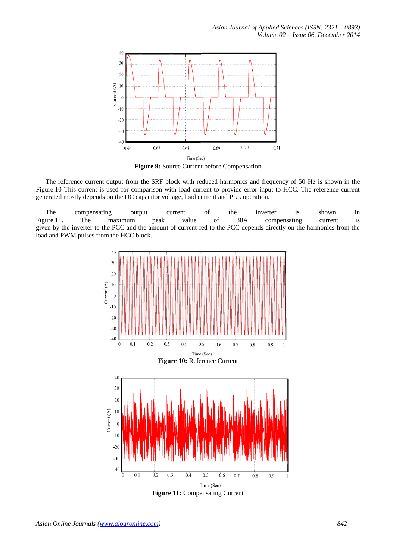*Asian Journal of Applied Sciences (ISSN: 2321 – 0893) Volume 02 – Issue 06, December 2014*



**Figure 9:** Source Current before Compensation

The reference current output from the SRF block with reduced harmonics and frequency of 50 Hz is shown in the Figure.10 This current is used for comparison with load current to provide error input to HCC. The reference current generated mostly depends on the DC capacitor voltage, load current and PLL operation.

The compensating output current of the inverter is shown in Figure.11. The maximum peak value of 30A compensating current is given by the inverter to the PCC and the amount of current fed to the PCC depends directly on the harmonics from the load and PWM pulses from the HCC block.



**Figure 11:** Compensating Current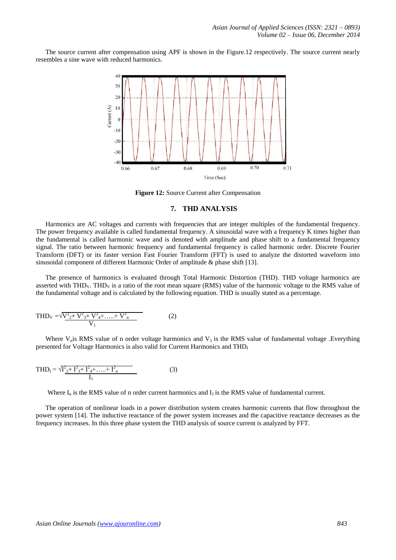The source current after compensation using APF is shown in the Figure.12 respectively. The source current nearly resembles a sine wave with reduced harmonics.



**Figure 12:** Source Current after Compensation

#### **7. THD ANALYSIS**

Harmonics are AC voltages and currents with frequencies that are integer multiples of the fundamental frequency. The power frequency available is called fundamental frequency. A sinusoidal wave with a frequency K times higher than the fundamental is called harmonic wave and is denoted with amplitude and phase shift to a fundamental frequency signal. The ratio between harmonic frequency and fundamental frequency is called harmonic order. Discrete Fourier Transform (DFT) or its faster version Fast Fourier Transform (FFT) is used to analyze the distorted waveform into sinusoidal component of different Harmonic Order of amplitude & phase shift [13].

The presence of harmonics is evaluated through Total Harmonic Distortion (THD). THD voltage harmonics are asserted with THD<sub>V</sub>. THD<sub>V</sub> is a ratio of the root mean square (RMS) value of the harmonic voltage to the RMS value of the fundamental voltage and is calculated by the following equation. THD is usually stated as a percentage.

$$
THD_V = \sqrt{\frac{V_{2+}^2 + V_{3+}^2 + \dots + V_{n}^2}{V_1}}
$$
 (2)

Where  $V_n$  is RMS value of n order voltage harmonics and  $V_1$  is the RMS value of fundamental voltage .Everything presented for Voltage Harmonics is also valid for Current Harmonics and  $THD<sub>I</sub>$ 

$$
THD_{I} = \sqrt{I_{2}^{2} + I_{3}^{2} + I_{4}^{2} + \dots + I_{n}^{2}}
$$
 (3)

Where  $I_n$  is the RMS value of n order current harmonics and  $I_1$  is the RMS value of fundamental current.

The operation of nonlinear loads in a power distribution system creates harmonic currents that flow throughout the power system [14]. The inductive reactance of the power system increases and the capacitive reactance decreases as the frequency increases. In this three phase system the THD analysis of source current is analyzed by FFT.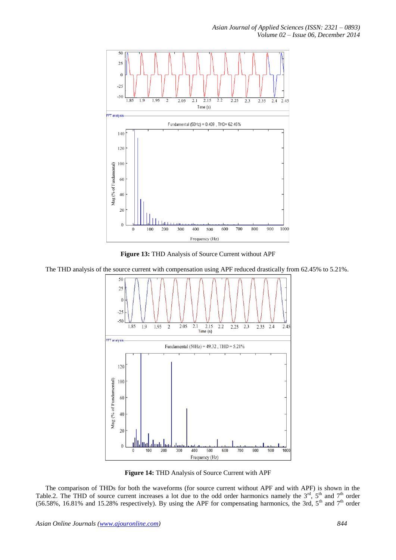



The THD analysis of the source current with compensation using APF reduced drastically from 62.45% to 5.21%.



**Figure 14:** THD Analysis of Source Current with APF

The comparison of THDs for both the waveforms (for source current without APF and with APF) is shown in the Table.2. The THD of source current increases a lot due to the odd order harmonics namely the  $3<sup>rd</sup>$ ,  $5<sup>th</sup>$  and  $7<sup>th</sup>$  order (56.58%, 16.81% and 15.28% respectively). By using the APF for compensating harmonics, the 3rd,  $5<sup>th</sup>$  and  $7<sup>th</sup>$  order